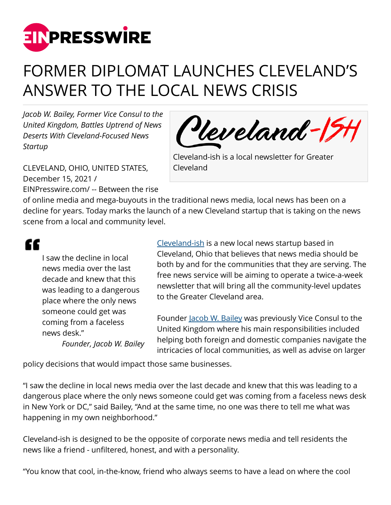

## FORMER DIPLOMAT LAUNCHES CLEVELAND'S ANSWER TO THE LOCAL NEWS CRISIS

*Jacob W. Bailey, Former Vice Consul to the United Kingdom, Battles Uptrend of News Deserts With Cleveland-Focused News Startup*



CLEVELAND, OHIO, UNITED STATES, December 15, 2021 / [EINPresswire.com](http://www.einpresswire.com)/ -- Between the rise Cleveland-ish is a local newsletter for Greater Cleveland

of online media and mega-buyouts in the traditional news media, local news has been on a decline for years. Today marks the launch of a new Cleveland startup that is taking on the news scene from a local and community level.

"

I saw the decline in local news media over the last decade and knew that this was leading to a dangerous place where the only news someone could get was coming from a faceless news desk." *Founder, Jacob W. Bailey*

[Cleveland-ish](https://clevelandish.co) is a new local news startup based in Cleveland, Ohio that believes that news media should be both by and for the communities that they are serving. The free news service will be aiming to operate a twice-a-week newsletter that will bring all the community-level updates to the Greater Cleveland area.

Founder <u>Jacob W. Bailey</u> was previously Vice Consul to the United Kingdom where his main responsibilities included helping both foreign and domestic companies navigate the intricacies of local communities, as well as advise on larger

policy decisions that would impact those same businesses.

"I saw the decline in local news media over the last decade and knew that this was leading to a dangerous place where the only news someone could get was coming from a faceless news desk in New York or DC," said Bailey, "And at the same time, no one was there to tell me what was happening in my own neighborhood."

Cleveland-ish is designed to be the opposite of corporate news media and tell residents the news like a friend - unfiltered, honest, and with a personality.

"You know that cool, in-the-know, friend who always seems to have a lead on where the cool